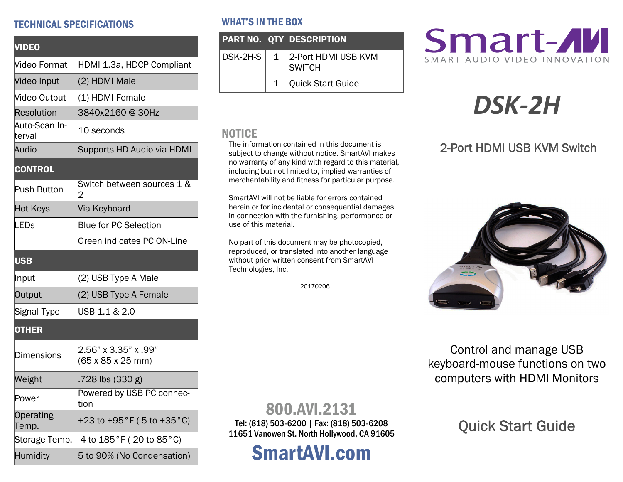#### TECHNICAL SPECIFICATIONS

| <b>VIDEO</b>            |                                                               |  |
|-------------------------|---------------------------------------------------------------|--|
| Video Format            | HDMI 1.3a, HDCP Compliant                                     |  |
| Video Input             | (2) HDMI Male                                                 |  |
| Video Output            | (1) HDMI Female                                               |  |
| Resolution              | 3840x2160@30Hz                                                |  |
| Auto-Scan In-<br>terval | 10 seconds                                                    |  |
| Audio                   | Supports HD Audio via HDMI                                    |  |
| <b>CONTROL</b>          |                                                               |  |
| Push Button             | Switch between sources 1 &<br>2                               |  |
| <b>Hot Keys</b>         | Via Keyboard                                                  |  |
| <b>LEDs</b>             | <b>Blue for PC Selection</b>                                  |  |
|                         | Green indicates PC ON-Line                                    |  |
| <b>USB</b>              |                                                               |  |
| Input                   | (2) USB Type A Male                                           |  |
| Output                  | (2) USB Type A Female                                         |  |
| Signal Type             | USB 1.1 & 2.0                                                 |  |
| <b>OTHER</b>            |                                                               |  |
| <b>Dimensions</b>       | 2.56" x 3.35" x .99"<br>$(65 \times 85 \times 25 \text{ mm})$ |  |
| Weight                  | .728 lbs (330 g)                                              |  |
| Power                   | Powered by USB PC connec-<br>tion                             |  |
| Operating<br>Temp.      | +23 to +95 $^{\circ}$ F (-5 to +35 $^{\circ}$ C)              |  |
| Storage Temp.           | 4 to 185°F (-20 to 85°C)                                      |  |
| Humidity                | 5 to 90% (No Condensation)                                    |  |

#### WHAT'S IN THE BOX

|  | PART NO. QTY DESCRIPTION       |
|--|--------------------------------|
|  | DSK-2H-S 1 2-Port HDMI USB KVM |
|  | 1 Quick Start Guide            |

#### **NOTICE**

The information contained in this document is subject to change without notice. SmartAVI makes no warranty of any kind with regard to this material, including but not limited to, implied warranties of merchantability and fitness for particular purpose.

SmartAVI will not be liable for errors contained herein or for incidental or consequential damages in connection with the furnishing, performance or use of this material.

No part of this document may be photocopied, reproduced, or translated into another language without prior written consent from SmartAVI Technologies, Inc.

20170206

## Smart-AVI SMART AUDIO VIDEO INNOVATION

# *DSK‐2H*

### 2-Port HDMI USB KVM Switch



Control and manage USB keyboard-mouse functions on two computers with HDMI Monitors

## Quick Start Guide

## 800.AVI.2131

Tel: (818) 503-6200 | Fax: (818) 503-6208 11651 Vanowen St. North Hollywood, CA 91605

# SmartAVI.com